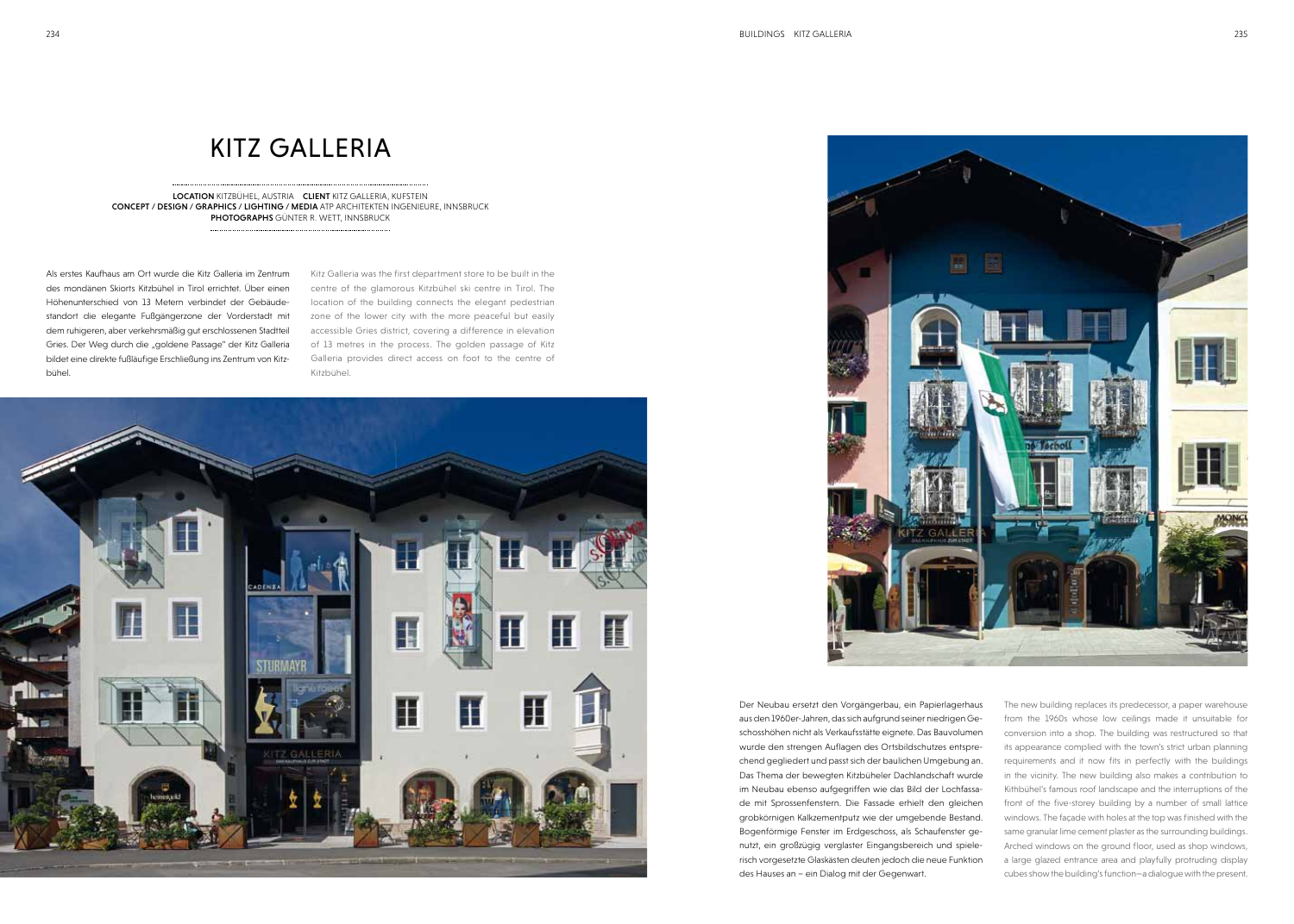## **KITZ GALLERIA**

LOCATION kitzbühel, Austria CLIENT kitz galleria, kufstein CONCEPT / DESIGN / Graphics / lighting / media atp architekten ingenieure, innsbruck PHOTOGRAPHS GÜNTER R. WETT, INNSBRUCK

Als erstes Kaufhaus am Ort wurde die Kitz Galleria im Zentrum des mondänen Skiorts Kitzbühel in Tirol errichtet. Über einen Höhenunterschied von 13 Metern verbindet der Gebäudestandort die elegante Fußgängerzone der Vorderstadt mit dem ruhigeren, aber verkehrsmäßig gut erschlossenen Stadtteil Gries. Der Weg durch die "goldene Passage" der Kitz Galleria bildet eine direkte fußläufige Erschließung ins Zentrum von Kitzbühel.

> The new building replaces its predecessor, a paper warehouse from the 1960s whose low ceilings made it unsuitable for conversion into a shop. The building was restructured so that its appearance complied with the town's strict urban planning requirements and it now fits in perfectly with the buildings in the vicinity. The new building also makes a contribution to Kithbühel's famous roof landscape and the interruptions of the front of the five-storey building by a number of small lattice windows. The façade with holes at the top was finished with the same granular lime cement plaster as the surrounding buildings. Arched windows on the ground floor, used as shop windows, a large glazed entrance area and playfully protruding display cubes show the building's function—a dialogue with the present. Der Neubau ersetzt den Vorgängerbau, ein Papierlagerhaus aus den 1960er-Jahren, das sich aufgrund seiner niedrigen Geschosshöhen nicht als Verkaufsstätte eignete. Das Bauvolumen wurde den strengen Auflagen des Ortsbildschutzes entsprechend gegliedert und passt sich der baulichen Umgebung an. Das Thema der bewegten Kitzbüheler Dachlandschaft wurde im Neubau ebenso aufgegriffen wie das Bild der Lochfassade mit Sprossenfenstern. Die Fassade erhielt den gleichen grobkörnigen Kalkzementputz wie der umgebende Bestand. Bogenförmige Fenster im Erdgeschoss, als Schaufenster genutzt, ein großzügig verglaster Eingangsbereich und spielerisch vorgesetzte Glaskästen deuten jedoch die neue Funktion des Hauses an – ein Dialog mit der Gegenwart.

Kitz Galleria was the first department store to be built in the centre of the glamorous Kitzbühel ski centre in Tirol. The location of the building connects the elegant pedestrian zone of the lower city with the more peaceful but easily accessible Gries district, covering a difference in elevation of 13 metres in the process. The golden passage of Kitz Galleria provides direct access on foot to the centre of Kitzbühel.